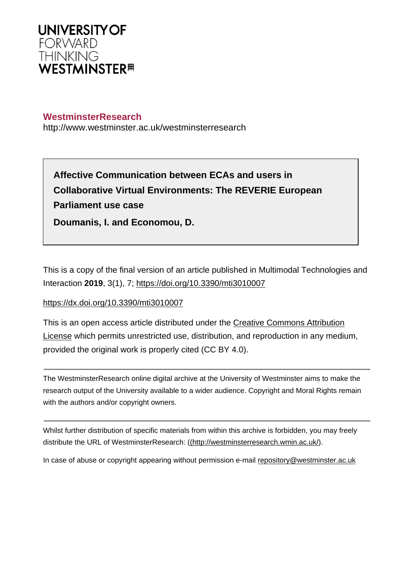

# **WestminsterResearch**

http://www.westminster.ac.uk/westminsterresearch

**Affective Communication between ECAs and users in Collaborative Virtual Environments: The REVERIE European Parliament use case**

This is a copy of the final version of an article published in Multimodal Technologies and Interaction **2019**, 3(1), 7;<https://doi.org/10.3390/mti3010007>

# <https://dx.doi.org/10.3390/mti3010007>

**Doumanis, I. and Economou, D.**

This is an open access article distributed under the [Creative Commons Attribution](https://creativecommons.org/licenses/by/4.0/)  [License](https://creativecommons.org/licenses/by/4.0/) which permits unrestricted use, distribution, and reproduction in any medium, provided the original work is properly cited (CC BY 4.0).

The WestminsterResearch online digital archive at the University of Westminster aims to make the research output of the University available to a wider audience. Copyright and Moral Rights remain with the authors and/or copyright owners.

Whilst further distribution of specific materials from within this archive is forbidden, you may freely distribute the URL of WestminsterResearch: [\(\(http://westminsterresearch.wmin.ac.uk/](http://westminsterresearch.wmin.ac.uk/)).

In case of abuse or copyright appearing without permission e-mail <repository@westminster.ac.uk>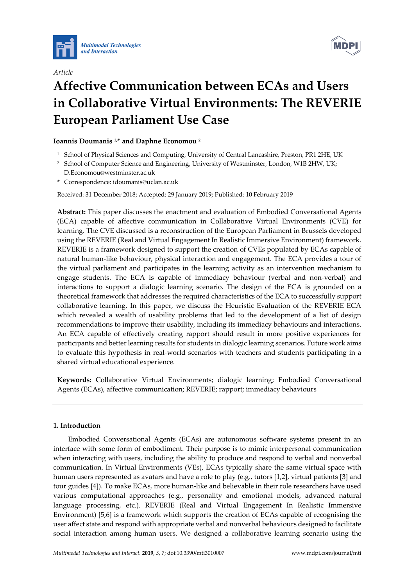



# *Article* **Affective Communication between ECAs and Users in Collaborative Virtual Environments: The REVERIE European Parliament Use Case**

# **Ioannis Doumanis 1,\* and Daphne Economou <sup>2</sup>**

- <sup>1</sup> School of Physical Sciences and Computing, University of Central Lancashire, Preston, PR1 2HE, UK
- <sup>2</sup> School of Computer Science and Engineering, University of Westminster, London, W1B 2HW, UK;
- D.Economou@westminster.ac.uk **\*** Correspondence: [idoumanis@uclan.ac.uk](mailto:idoumanis@uclan.ac.uk)

Received: 31 December 2018; Accepted: 29 January 2019; Published: 10 February 2019

**Abstract:** This paper discusses the enactment and evaluation of Embodied Conversational Agents (ECA) capable of affective communication in Collaborative Virtual Environments (CVE) for learning. The CVE discussed is a reconstruction of the European Parliament in Brussels developed using the REVERIE (Real and Virtual Engagement In Realistic Immersive Environment) framework. REVERIE is a framework designed to support the creation of CVEs populated by ECAs capable of natural human-like behaviour, physical interaction and engagement. The ECA provides a tour of the virtual parliament and participates in the learning activity as an intervention mechanism to engage students. The ECA is capable of immediacy behaviour (verbal and non-verbal) and interactions to support a dialogic learning scenario. The design of the ECA is grounded on a theoretical framework that addresses the required characteristics of the ECA to successfully support collaborative learning. In this paper, we discuss the Heuristic Evaluation of the REVERIE ECA which revealed a wealth of usability problems that led to the development of a list of design recommendations to improve their usability, including its immediacy behaviours and interactions. An ECA capable of effectively creating rapport should result in more positive experiences for participants and better learning results for students in dialogic learning scenarios. Future work aims to evaluate this hypothesis in real-world scenarios with teachers and students participating in a shared virtual educational experience.

**Keywords:** Collaborative Virtual Environments; dialogic learning; Embodied Conversational Agents (ECAs), affective communication; REVERIE; rapport; immediacy behaviours

# **1. Introduction**

Embodied Conversational Agents (ECAs) are autonomous software systems present in an interface with some form of embodiment. Their purpose is to mimic interpersonal communication when interacting with users, including the ability to produce and respond to verbal and nonverbal communication. In Virtual Environments (VEs), ECAs typically share the same virtual space with human users represented as avatars and have a role to play (e.g., tutors [1,2], virtual patients [3] and tour guides [4]). To make ECAs, more human-like and believable in their role researchers have used various computational approaches (e.g., personality and emotional models, advanced natural language processing, etc.). REVERIE (Real and Virtual Engagement In Realistic Immersive Environment) [5,6] is a framework which supports the creation of ECAs capable of recognising the user affect state and respond with appropriate verbal and nonverbal behaviours designed to facilitate social interaction among human users. We designed a collaborative learning scenario using the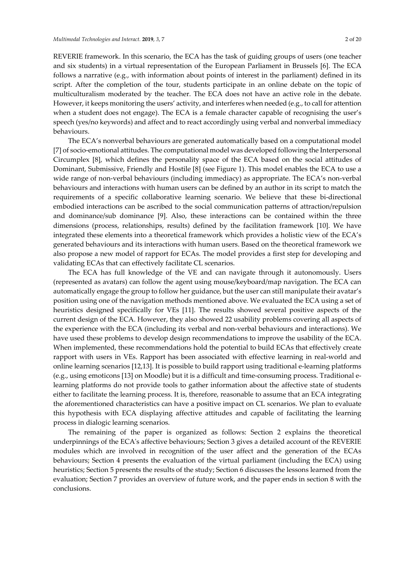REVERIE framework. In this scenario, the ECA has the task of guiding groups of users (one teacher and six students) in a virtual representation of the European Parliament in Brussels [6]. The ECA follows a narrative (e.g., with information about points of interest in the parliament) defined in its script. After the completion of the tour, students participate in an online debate on the topic of multiculturalism moderated by the teacher. The ECA does not have an active role in the debate. However, it keeps monitoring the users' activity, and interferes when needed (e.g., to call for attention when a student does not engage). The ECA is a female character capable of recognising the user's speech (yes/no keywords) and affect and to react accordingly using verbal and nonverbal immediacy behaviours.

The ECA's nonverbal behaviours are generated automatically based on a computational model [7] of socio-emotional attitudes. The computational model was developed following the Interpersonal Circumplex [8], which defines the personality space of the ECA based on the social attitudes of Dominant, Submissive, Friendly and Hostile [8] (see Figure 1). This model enables the ECA to use a wide range of non-verbal behaviours (including immediacy) as appropriate. The ECA's non-verbal behaviours and interactions with human users can be defined by an author in its script to match the requirements of a specific collaborative learning scenario. We believe that these bi-directional embodied interactions can be ascribed to the social communication patterns of attraction/repulsion and dominance/sub dominance [9]. Also, these interactions can be contained within the three dimensions (process, relationships, results) defined by the facilitation framework [10]. We have integrated these elements into a theoretical framework which provides a holistic view of the ECA's generated behaviours and its interactions with human users. Based on the theoretical framework we also propose a new model of rapport for ECAs. The model provides a first step for developing and validating ECAs that can effectively facilitate CL scenarios.

The ECA has full knowledge of the VE and can navigate through it autonomously. Users (represented as avatars) can follow the agent using mouse/keyboard/map navigation. The ECA can automatically engage the group to follow her guidance, but the user can still manipulate their avatar's position using one of the navigation methods mentioned above. We evaluated the ECA using a set of heuristics designed specifically for VEs [11]. The results showed several positive aspects of the current design of the ECA. However, they also showed 22 usability problems covering all aspects of the experience with the ECA (including its verbal and non-verbal behaviours and interactions). We have used these problems to develop design recommendations to improve the usability of the ECA. When implemented, these recommendations hold the potential to build ECAs that effectively create rapport with users in VEs. Rapport has been associated with effective learning in real-world and online learning scenarios [12,13]. It is possible to build rapport using traditional e-learning platforms (e.g., using emoticons [13] on Moodle) but it is a difficult and time-consuming process. Traditional elearning platforms do not provide tools to gather information about the affective state of students either to facilitate the learning process. It is, therefore, reasonable to assume that an ECA integrating the aforementioned characteristics can have a positive impact on CL scenarios. We plan to evaluate this hypothesis with ECA displaying affective attitudes and capable of facilitating the learning process in dialogic learning scenarios.

The remaining of the paper is organized as follows: Section 2 explains the theoretical underpinnings of the ECA's affective behaviours; Section 3 gives a detailed account of the REVERIE modules which are involved in recognition of the user affect and the generation of the ECAs behaviours; Section 4 presents the evaluation of the virtual parliament (including the ECA) using heuristics; Section 5 presents the results of the study; Section 6 discusses the lessons learned from the evaluation; Section 7 provides an overview of future work, and the paper ends in section 8 with the conclusions.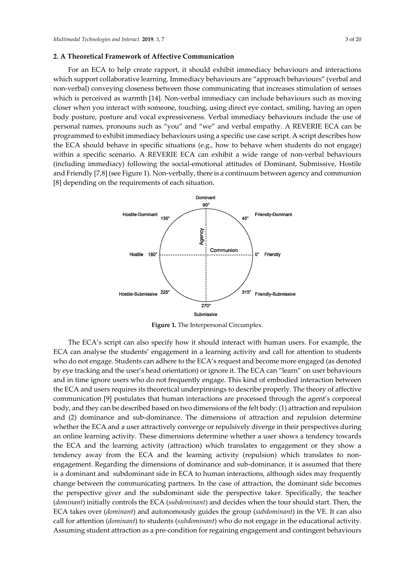#### **2. A Theoretical Framework of Affective Communication**

For an ECA to help create rapport, it should exhibit immediacy behaviours and interactions which support collaborative learning. Immediacy behaviours are "approach behaviours" (verbal and non-verbal) conveying closeness between those communicating that increases stimulation of senses which is perceived as warmth [14]. Non-verbal immediacy can include behaviours such as moving closer when you interact with someone, touching, using direct eye contact, smiling, having an open body posture, posture and vocal expressiveness. Verbal immediacy behaviours include the use of personal names, pronouns such as "you" and "we" and verbal empathy. A REVERIE ECA can be programmed to exhibit immediacy behaviours using a specific use case script. A script describes how the ECA should behave in specific situations (e.g., how to behave when students do not engage) within a specific scenario. A REVERIE ECA can exhibit a wide range of non-verbal behaviours (including immediacy) following the social-emotional attitudes of Dominant, Submissive, Hostile and Friendly [7,8] (see Figure 1). Non-verbally, there is a continuum between agency and communion [8] depending on the requirements of each situation.



**Figure 1.** The Interpersonal Circumplex.

The ECA's script can also specify how it should interact with human users. For example, the ECA can analyse the students' engagement in a learning activity and call for attention to students who do not engage. Students can adhere to the ECA's request and become more engaged (as denoted by eye tracking and the user's head orientation) or ignore it. The ECA can "learn" on user behaviours and in time ignore users who do not frequently engage. This kind of embodied interaction between the ECA and users requires its theoretical underpinnings to describe properly. The theory of affective communication [9] postulates that human interactions are processed through the agent's corporeal body, and they can be described based on two dimensions of the felt body: (1) attraction and repulsion and (2) dominance and sub-dominance. The dimensions of attraction and repulsion determine whether the ECA and a user attractively converge or repulsively diverge in their perspectives during an online learning activity. These dimensions determine whether a user shows a tendency towards the ECA and the learning activity (attraction) which translates to engagement or they show a tendency away from the ECA and the learning activity (repulsion) which translates to nonengagement. Regarding the dimensions of dominance and sub-dominance, it is assumed that there is a dominant and subdominant side in ECA to human interactions, although sides may frequently change between the communicating partners. In the case of attraction, the dominant side becomes the perspective giver and the subdominant side the perspective taker. Specifically, the teacher (*dominant*) initially controls the ECA (*subdominant*) and decides when the tour should start. Then, the ECA takes over (*dominant*) and autonomously guides the group (*subdominant*) in the VE. It can also call for attention (*dominant*) to students (*subdominant*) who do not engage in the educational activity. Assuming student attraction as a pre-condition for regaining engagement and contingent behaviours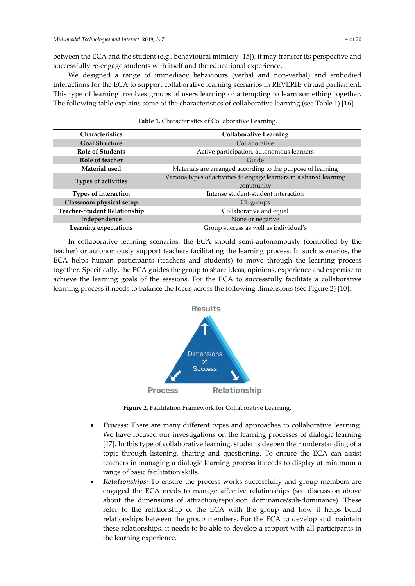between the ECA and the student (e.g., behavioural mimicry [15]), it may transfer its perspective and successfully re-engage students with itself and the educational experience.

We designed a range of immediacy behaviours (verbal and non-verbal) and embodied interactions for the ECA to support collaborative learning scenarios in REVERIE virtual parliament. This type of learning involves groups of users learning or attempting to learn something together. The following table explains some of the characteristics of collaborative learning (see Table 1) [16].

| Characteristics                     | <b>Collaborative Learning</b>                                       |  |
|-------------------------------------|---------------------------------------------------------------------|--|
| <b>Goal Structure</b>               | Collaborative                                                       |  |
| <b>Role of Students</b>             | Active participation, autonomous learners                           |  |
| Role of teacher                     | Guide                                                               |  |
| Material used                       | Materials are arranged according to the purpose of learning         |  |
|                                     | Various types of activities to engage learners in a shared learning |  |
| <b>Types of activities</b>          | community                                                           |  |
| Types of interaction                | Intense student-student interaction                                 |  |
| Classroom physical setup            | CL groups                                                           |  |
| <b>Teacher-Student Relationship</b> | Collaborative and equal                                             |  |
| Independence                        | None or negative                                                    |  |
| Learning expectations               | Group success as well as individual's                               |  |

| Table 1. Characteristics of Collaborative Learning. |  |
|-----------------------------------------------------|--|
|-----------------------------------------------------|--|

In collaborative learning scenarios, the ECA should semi-autonomously (controlled by the teacher) or autonomously support teachers facilitating the learning process. In such scenarios, the ECA helps human participants (teachers and students) to move through the learning process together. Specifically, the ECA guides the group to share ideas, opinions, experience and expertise to achieve the learning goals of the sessions. For the ECA to successfully facilitate a collaborative learning process it needs to balance the focus across the following dimensions (see Figure 2) [10]:



**Figure 2.** Facilitation Framework for Collaborative Learning.

- *Process:* There are many different types and approaches to collaborative learning. We have focused our investigations on the learning processes of dialogic learning [17]. In this type of collaborative learning, students deepen their understanding of a topic through listening, sharing and questioning. To ensure the ECA can assist teachers in managing a dialogic learning process it needs to display at minimum a range of basic facilitation skills.
- *Relationships:* To ensure the process works successfully and group members are engaged the ECA needs to manage affective relationships (see discussion above about the dimensions of attraction/repulsion dominance/sub-dominance). These refer to the relationship of the ECA with the group and how it helps build relationships between the group members. For the ECA to develop and maintain these relationships, it needs to be able to develop a rapport with all participants in the learning experience.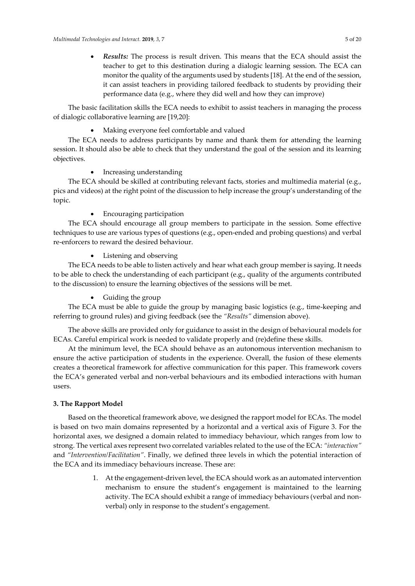• *Results:* The process is result driven. This means that the ECA should assist the teacher to get to this destination during a dialogic learning session. The ECA can monitor the quality of the arguments used by students [18]. At the end of the session, it can assist teachers in providing tailored feedback to students by providing their performance data (e.g., where they did well and how they can improve)

The basic facilitation skills the ECA needs to exhibit to assist teachers in managing the process of dialogic collaborative learning are [19,20]:

• Making everyone feel comfortable and valued

The ECA needs to address participants by name and thank them for attending the learning session. It should also be able to check that they understand the goal of the session and its learning objectives.

# • Increasing understanding

The ECA should be skilled at contributing relevant facts, stories and multimedia material (e.g., pics and videos) at the right point of the discussion to help increase the group's understanding of the topic.

# • Encouraging participation

The ECA should encourage all group members to participate in the session. Some effective techniques to use are various types of questions (e.g., open-ended and probing questions) and verbal re-enforcers to reward the desired behaviour.

• Listening and observing

The ECA needs to be able to listen actively and hear what each group member is saying. It needs to be able to check the understanding of each participant (e.g., quality of the arguments contributed to the discussion) to ensure the learning objectives of the sessions will be met.

• Guiding the group

The ECA must be able to guide the group by managing basic logistics (e.g., time-keeping and referring to ground rules) and giving feedback (see the *"Results"* dimension above).

The above skills are provided only for guidance to assist in the design of behavioural models for ECAs. Careful empirical work is needed to validate properly and (re)define these skills.

At the minimum level, the ECA should behave as an autonomous intervention mechanism to ensure the active participation of students in the experience. Overall, the fusion of these elements creates a theoretical framework for affective communication for this paper. This framework covers the ECA's generated verbal and non-verbal behaviours and its embodied interactions with human users.

# **3. The Rapport Model**

Based on the theoretical framework above, we designed the rapport model for ECAs. The model is based on two main domains represented by a horizontal and a vertical axis of Figure 3. For the horizontal axes, we designed a domain related to immediacy behaviour, which ranges from low to strong. The vertical axes represent two correlated variables related to the use of the ECA: *"interaction"* and *"Intervention/Facilitation"*. Finally, we defined three levels in which the potential interaction of the ECA and its immediacy behaviours increase. These are:

> 1. At the engagement-driven level, the ECA should work as an automated intervention mechanism to ensure the student's engagement is maintained to the learning activity. The ECA should exhibit a range of immediacy behaviours (verbal and nonverbal) only in response to the student's engagement.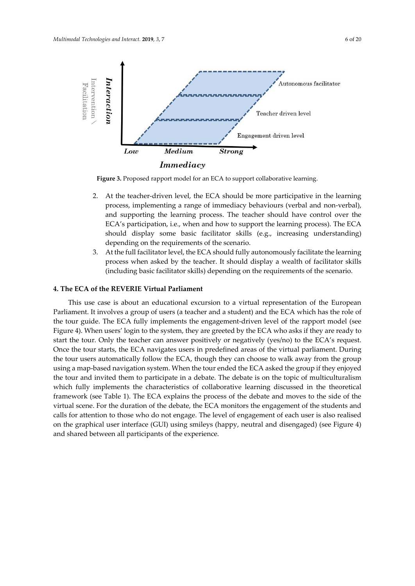

**Figure 3.** Proposed rapport model for an ECA to support collaborative learning.

- 2. At the teacher-driven level, the ECA should be more participative in the learning process, implementing a range of immediacy behaviours (verbal and non-verbal), and supporting the learning process. The teacher should have control over the ECA's participation, i.e., when and how to support the learning process). The ECA should display some basic facilitator skills (e.g., increasing understanding) depending on the requirements of the scenario.
- 3. At the full facilitator level, the ECA should fully autonomously facilitate the learning process when asked by the teacher. It should display a wealth of facilitator skills (including basic facilitator skills) depending on the requirements of the scenario.

#### **4. The ECA of the REVERIE Virtual Parliament**

This use case is about an educational excursion to a virtual representation of the European Parliament. It involves a group of users (a teacher and a student) and the ECA which has the role of the tour guide. The ECA fully implements the engagement-driven level of the rapport model (see Figure 4). When users' login to the system, they are greeted by the ECA who asks if they are ready to start the tour. Only the teacher can answer positively or negatively (yes/no) to the ECA's request. Once the tour starts, the ECA navigates users in predefined areas of the virtual parliament. During the tour users automatically follow the ECA, though they can choose to walk away from the group using a map-based navigation system. When the tour ended the ECA asked the group if they enjoyed the tour and invited them to participate in a debate. The debate is on the topic of multiculturalism which fully implements the characteristics of collaborative learning discussed in the theoretical framework (see Table 1). The ECA explains the process of the debate and moves to the side of the virtual scene. For the duration of the debate, the ECA monitors the engagement of the students and calls for attention to those who do not engage. The level of engagement of each user is also realised on the graphical user interface (GUI) using smileys (happy, neutral and disengaged) (see Figure 4) and shared between all participants of the experience.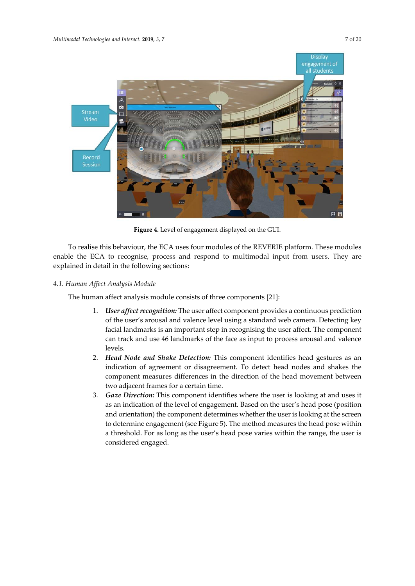

**Figure 4.** Level of engagement displayed on the GUI.

To realise this behaviour, the ECA uses four modules of the REVERIE platform. These modules enable the ECA to recognise, process and respond to multimodal input from users. They are explained in detail in the following sections:

# *4.1. Human Affect Analysis Module*

The human affect analysis module consists of three components [21]:

- 1. *User affect recognition:* The user affect component provides a continuous prediction of the user's arousal and valence level using a standard web camera. Detecting key facial landmarks is an important step in recognising the user affect. The component can track and use 46 landmarks of the face as input to process arousal and valence levels.
- 2. *Head Node and Shake Detection:* This component identifies head gestures as an indication of agreement or disagreement. To detect head nodes and shakes the component measures differences in the direction of the head movement between two adjacent frames for a certain time.
- 3. *Gaze Direction:* This component identifies where the user is looking at and uses it as an indication of the level of engagement. Based on the user's head pose (position and orientation) the component determines whether the user is looking at the screen to determine engagement (see Figure 5). The method measures the head pose within a threshold. For as long as the user's head pose varies within the range, the user is considered engaged.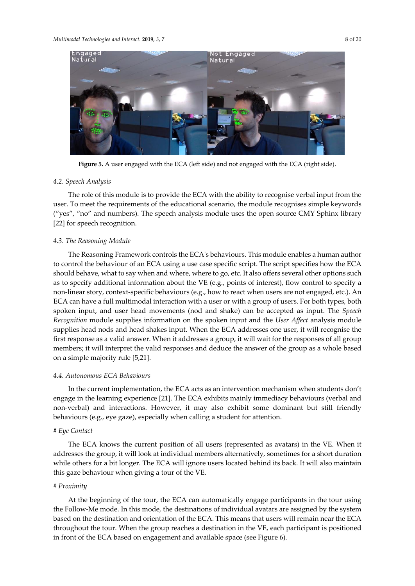

**Figure 5.** A user engaged with the ECA (left side) and not engaged with the ECA (right side).

#### *4.2. Speech Analysis*

The role of this module is to provide the ECA with the ability to recognise verbal input from the user. To meet the requirements of the educational scenario, the module recognises simple keywords ("yes", "no" and numbers). The speech analysis module uses the open source CMY Sphinx library [22] for speech recognition.

#### *4.3. The Reasoning Module*

The Reasoning Framework controls the ECA's behaviours. This module enables a human author to control the behaviour of an ECA using a use case specific script. The script specifies how the ECA should behave, what to say when and where, where to go, etc. It also offers several other options such as to specify additional information about the VE (e.g., points of interest), flow control to specify a non-linear story, context-specific behaviours (e.g., how to react when users are not engaged, etc.). An ECA can have a full multimodal interaction with a user or with a group of users. For both types, both spoken input, and user head movements (nod and shake) can be accepted as input. The *Speech Recognition* module supplies information on the spoken input and the *User Affect* analysis module supplies head nods and head shakes input. When the ECA addresses one user, it will recognise the first response as a valid answer. When it addresses a group, it will wait for the responses of all group members; it will interpret the valid responses and deduce the answer of the group as a whole based on a simple majority rule [5,21].

#### *4.4. Autonomous ECA Behaviours*

In the current implementation, the ECA acts as an intervention mechanism when students don't engage in the learning experience [21]. The ECA exhibits mainly immediacy behaviours (verbal and non-verbal) and interactions. However, it may also exhibit some dominant but still friendly behaviours (e.g., eye gaze), especially when calling a student for attention.

### # *Eye Contact*

The ECA knows the current position of all users (represented as avatars) in the VE. When it addresses the group, it will look at individual members alternatively, sometimes for a short duration while others for a bit longer. The ECA will ignore users located behind its back. It will also maintain this gaze behaviour when giving a tour of the VE.

#### # *Proximity*

At the beginning of the tour, the ECA can automatically engage participants in the tour using the Follow-Me mode. In this mode, the destinations of individual avatars are assigned by the system based on the destination and orientation of the ECA. This means that users will remain near the ECA throughout the tour. When the group reaches a destination in the VE, each participant is positioned in front of the ECA based on engagement and available space (see Figure 6).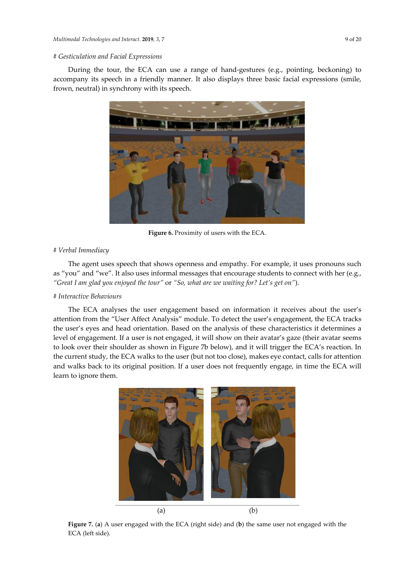## # *Gesticulation and Facial Expressions*

During the tour, the ECA can use a range of hand-gestures (e.g., pointing, beckoning) to accompany its speech in a friendly manner. It also displays three basic facial expressions (smile, frown, neutral) in synchrony with its speech.



**Figure 6.** Proximity of users with the ECA.

#### # *Verbal Immediacy*

The agent uses speech that shows openness and empathy. For example, it uses pronouns such as "you" and "we". It also uses informal messages that encourage students to connect with her (e.g., *"Great I am glad you enjoyed the tour"* or *"So, what are we waiting for? Let's get on"*).

#### # *Interactive Behaviours*

The ECA analyses the user engagement based on information it receives about the user's attention from the "User Affect Analysis" module. To detect the user's engagement, the ECA tracks the user's eyes and head orientation. Based on the analysis of these characteristics it determines a level of engagement. If a user is not engaged, it will show on their avatar's gaze (their avatar seems to look over their shoulder as shown in Figure 7b below), and it will trigger the ECA's reaction. In the current study, the ECA walks to the user (but not too close), makes eye contact, calls for attention and walks back to its original position. If a user does not frequently engage, in time the ECA will learn to ignore them.



**Figure 7.** (**a**) A user engaged with the ECA (right side) and (**b**) the same user not engaged with the ECA (left side).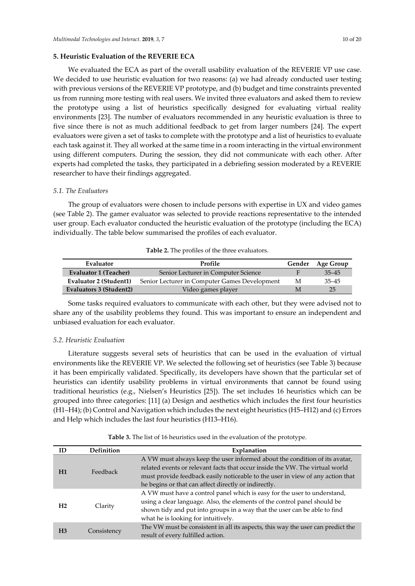We evaluated the ECA as part of the overall usability evaluation of the REVERIE VP use case. We decided to use heuristic evaluation for two reasons: (a) we had already conducted user testing with previous versions of the REVERIE VP prototype, and (b) budget and time constraints prevented us from running more testing with real users. We invited three evaluators and asked them to review the prototype using a list of heuristics specifically designed for evaluating virtual reality environments [23]. The number of evaluators recommended in any heuristic evaluation is three to five since there is not as much additional feedback to get from larger numbers [24]. The expert evaluators were given a set of tasks to complete with the prototype and a list of heuristics to evaluate each task against it. They all worked at the same time in a room interacting in the virtual environment using different computers. During the session, they did not communicate with each other. After experts had completed the tasks, they participated in a debriefing session moderated by a REVERIE researcher to have their findings aggregated.

#### *5.1. The Evaluators*

The group of evaluators were chosen to include persons with expertise in UX and video games (see Table 2). The gamer evaluator was selected to provide reactions representative to the intended user group. Each evaluator conducted the heuristic evaluation of the prototype (including the ECA) individually. The table below summarised the profiles of each evaluator.

| Table 2. The profiles of the three evaluators. |
|------------------------------------------------|
|------------------------------------------------|

| Evaluator               | Profile                                       |   | Age Group |
|-------------------------|-----------------------------------------------|---|-----------|
| Evaluator 1 (Teacher)   | Senior Lecturer in Computer Science           |   | $35 - 45$ |
| Evaluator 2 (Student1)  | Senior Lecturer in Computer Games Development | М | $35 - 45$ |
| Evaluators 3 (Student2) | Video games player                            |   | 25        |

Some tasks required evaluators to communicate with each other, but they were advised not to share any of the usability problems they found. This was important to ensure an independent and unbiased evaluation for each evaluator.

## *5.2. Heuristic Evaluation*

Literature suggests several sets of heuristics that can be used in the evaluation of virtual environments like the REVERIE VP. We selected the following set of heuristics (see Table 3) because it has been empirically validated. Specifically, its developers have shown that the particular set of heuristics can identify usability problems in virtual environments that cannot be found using traditional heuristics (e.g., Nielsen's Heuristics [25]). The set includes 16 heuristics which can be grouped into three categories: [11] (a) Design and aesthetics which includes the first four heuristics (H1–H4); (b) Control and Navigation which includes the next eight heuristics (H5–H12) and (c) Errors and Help which includes the last four heuristics (H13–H16).

**Table 3.** The list of 16 heuristics used in the evaluation of the prototype.

| ID             | <b>Definition</b> | Explanation                                                                                                                                                                                                                                                                                          |  |
|----------------|-------------------|------------------------------------------------------------------------------------------------------------------------------------------------------------------------------------------------------------------------------------------------------------------------------------------------------|--|
| H1             | Feedback          | A VW must always keep the user informed about the condition of its avatar,<br>related events or relevant facts that occur inside the VW. The virtual world<br>must provide feedback easily noticeable to the user in view of any action that<br>he begins or that can affect directly or indirectly. |  |
| H <sub>2</sub> | Clarity           | A VW must have a control panel which is easy for the user to understand,<br>using a clear language. Also, the elements of the control panel should be<br>shown tidy and put into groups in a way that the user can be able to find<br>what he is looking for intuitively.                            |  |
| H <sub>3</sub> | Consistency       | The VW must be consistent in all its aspects, this way the user can predict the<br>result of every fulfilled action.                                                                                                                                                                                 |  |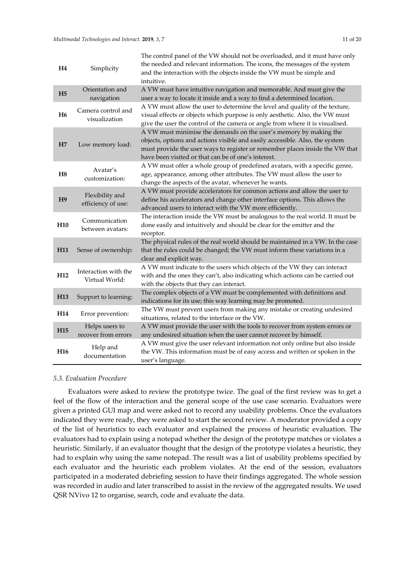| H <sub>4</sub>  | Simplicity                             | The control panel of the VW should not be overloaded, and it must have only<br>the needed and relevant information. The icons, the messages of the system<br>and the interaction with the objects inside the VW must be simple and<br>intuitive.                                         |
|-----------------|----------------------------------------|------------------------------------------------------------------------------------------------------------------------------------------------------------------------------------------------------------------------------------------------------------------------------------------|
| H <sub>5</sub>  | Orientation and<br>navigation          | A VW must have intuitive navigation and memorable. And must give the<br>user a way to locate it inside and a way to find a determined location.                                                                                                                                          |
| H <sub>6</sub>  | Camera control and<br>visualization    | A VW must allow the user to determine the level and quality of the texture,<br>visual effects or objects which purpose is only aesthetic. Also, the VW must<br>give the user the control of the camera or angle from where it is visualised.                                             |
| H7              | Low memory load:                       | A VW must minimise the demands on the user's memory by making the<br>objects, options and actions visible and easily accessible. Also, the system<br>must provide the user ways to register or remember places inside the VW that<br>have been visited or that can be of one's interest. |
| H8              | Avatar's<br>customization:             | A VW must offer a whole group of predefined avatars, with a specific genre,<br>age, appearance, among other attributes. The VW must allow the user to<br>change the aspects of the avatar, whenever he wants.                                                                            |
| H <sub>9</sub>  | Flexibility and<br>efficiency of use:  | A VW must provide accelerators for common actions and allow the user to<br>define his accelerators and change other interface options. This allows the<br>advanced users to interact with the VW more efficiently.                                                                       |
| H <sub>10</sub> | Communication<br>between avatars:      | The interaction inside the VW must be analogous to the real world. It must be<br>done easily and intuitively and should be clear for the emitter and the<br>receptor.                                                                                                                    |
| H <sub>11</sub> | Sense of ownership:                    | The physical rules of the real world should be maintained in a VW. In the case<br>that the rules could be changed; the VW must inform these variations in a<br>clear and explicit way.                                                                                                   |
| H <sub>12</sub> | Interaction with the<br>Virtual World: | A VW must indicate to the users which objects of the VW they can interact<br>with and the ones they can't, also indicating which actions can be carried out<br>with the objects that they can interact.                                                                                  |
| H <sub>13</sub> | Support to learning:                   | The complex objects of a VW must be complemented with definitions and<br>indications for its use; this way learning may be promoted.                                                                                                                                                     |
| H <sub>14</sub> | Error prevention:                      | The VW must prevent users from making any mistake or creating undesired<br>situations, related to the interface or the VW.                                                                                                                                                               |
| H <sub>15</sub> | Helps users to<br>recover from errors  | A VW must provide the user with the tools to recover from system errors or<br>any undesired situation when the user cannot recover by himself.                                                                                                                                           |
| H <sub>16</sub> | Help and<br>documentation              | A VW must give the user relevant information not only online but also inside<br>the VW. This information must be of easy access and written or spoken in the<br>user's language.                                                                                                         |

## *5.3. Evaluation Procedure*

Evaluators were asked to review the prototype twice. The goal of the first review was to get a feel of the flow of the interaction and the general scope of the use case scenario. Evaluators were given a printed GUI map and were asked not to record any usability problems. Once the evaluators indicated they were ready, they were asked to start the second review. A moderator provided a copy of the list of heuristics to each evaluator and explained the process of heuristic evaluation. The evaluators had to explain using a notepad whether the design of the prototype matches or violates a heuristic. Similarly, if an evaluator thought that the design of the prototype violates a heuristic, they had to explain why using the same notepad. The result was a list of usability problems specified by each evaluator and the heuristic each problem violates. At the end of the session, evaluators participated in a moderated debriefing session to have their findings aggregated. The whole session was recorded in audio and later transcribed to assist in the review of the aggregated results. We used QSR NVivo 12 to organise, search, code and evaluate the data.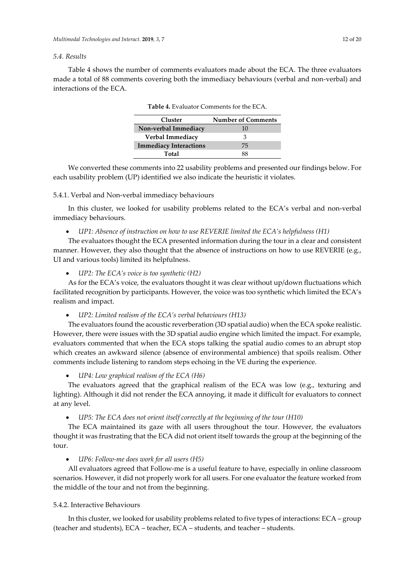# *5.4. Results*

Table 4 shows the number of comments evaluators made about the ECA. The three evaluators made a total of 88 comments covering both the immediacy behaviours (verbal and non-verbal) and interactions of the ECA.

| Cluster                       | <b>Number of Comments</b> |
|-------------------------------|---------------------------|
| Non-verbal Immediacy          | 10                        |
| Verbal Immediacy              | 3                         |
| <b>Immediacy Interactions</b> | 75                        |
| Total                         | 88                        |
|                               |                           |

**Table 4.** Evaluator Comments for the ECA.

We converted these comments into 22 usability problems and presented our findings below. For each usability problem (UP) identified we also indicate the heuristic it violates.

#### 5.4.1. Verbal and Non-verbal immediacy behaviours

In this cluster, we looked for usability problems related to the ECA's verbal and non-verbal immediacy behaviours.

• *UP1: Absence of instruction on how to use REVERIE limited the ECA's helpfulness (H1)*

The evaluators thought the ECA presented information during the tour in a clear and consistent manner. However, they also thought that the absence of instructions on how to use REVERIE (e.g., UI and various tools) limited its helpfulness.

#### • *UP2: The ECA's voice is too synthetic (H2)*

As for the ECA's voice, the evaluators thought it was clear without up/down fluctuations which facilitated recognition by participants. However, the voice was too synthetic which limited the ECA's realism and impact.

#### • *UP2: Limited realism of the ECA's verbal behaviours (H13)*

The evaluators found the acoustic reverberation (3D spatial audio) when the ECA spoke realistic. However, there were issues with the 3D spatial audio engine which limited the impact. For example, evaluators commented that when the ECA stops talking the spatial audio comes to an abrupt stop which creates an awkward silence (absence of environmental ambience) that spoils realism. Other comments include listening to random steps echoing in the VE during the experience.

#### • *UP4: Low graphical realism of the ECA (H6)*

The evaluators agreed that the graphical realism of the ECA was low (e.g., texturing and lighting). Although it did not render the ECA annoying, it made it difficult for evaluators to connect at any level.

• *UP5: The ECA does not orient itself correctly at the beginning of the tour (H10)*

The ECA maintained its gaze with all users throughout the tour. However, the evaluators thought it was frustrating that the ECA did not orient itself towards the group at the beginning of the tour.

• *UP6: Follow-me does work for all users (H5)*

All evaluators agreed that Follow-me is a useful feature to have, especially in online classroom scenarios. However, it did not properly work for all users. For one evaluator the feature worked from the middle of the tour and not from the beginning.

#### 5.4.2. Interactive Behaviours

In this cluster, we looked for usability problems related to five types of interactions: ECA – group (teacher and students), ECA – teacher, ECA – students, and teacher – students.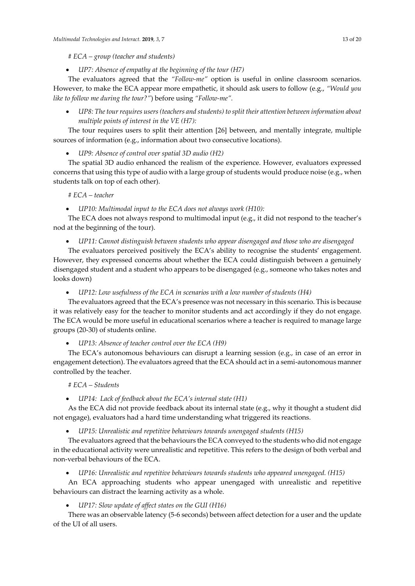• *UP7: Absence of empathy at the beginning of the tour (H7)*

The evaluators agreed that the *"Follow-me"* option is useful in online classroom scenarios. However, to make the ECA appear more empathetic, it should ask users to follow (e.g., *"Would you like to follow me during the tour?"*) before using *"Follow-me".*

• *UP8: The tour requires users (teachers and students) to split their attention between information about multiple points of interest in the VE (H7):*

The tour requires users to split their attention [26] between, and mentally integrate, multiple sources of information (e.g., information about two consecutive locations).

• *UP9: Absence of control over spatial 3D audio (H2)*

The spatial 3D audio enhanced the realism of the experience. However, evaluators expressed concerns that using this type of audio with a large group of students would produce noise (e.g., when students talk on top of each other).

## *# ECA – teacher*

• *UP10: Multimodal input to the ECA does not always work (H10):*

The ECA does not always respond to multimodal input (e.g., it did not respond to the teacher's nod at the beginning of the tour).

• *UP11: Cannot distinguish between students who appear disengaged and those who are disengaged* 

The evaluators perceived positively the ECA's ability to recognise the students' engagement. However, they expressed concerns about whether the ECA could distinguish between a genuinely disengaged student and a student who appears to be disengaged (e.g., someone who takes notes and looks down)

• *UP12: Low usefulness of the ECA in scenarios with a low number of students (H4)*

The evaluators agreed that the ECA's presence was not necessary in this scenario. This is because it was relatively easy for the teacher to monitor students and act accordingly if they do not engage. The ECA would be more useful in educational scenarios where a teacher is required to manage large groups (20-30) of students online.

• *UP13: Absence of teacher control over the ECA (H9)*

The ECA's autonomous behaviours can disrupt a learning session (e.g., in case of an error in engagement detection). The evaluators agreed that the ECA should act in a semi-autonomous manner controlled by the teacher.

#### *# ECA – Students*

• *UP14: Lack of feedback about the ECA's internal state (H1)*

As the ECA did not provide feedback about its internal state (e.g., why it thought a student did not engage), evaluators had a hard time understanding what triggered its reactions.

• *UP15: Unrealistic and repetitive behaviours towards unengaged students (H15)*

The evaluators agreed that the behaviours the ECA conveyed to the students who did not engage in the educational activity were unrealistic and repetitive. This refers to the design of both verbal and non-verbal behaviours of the ECA.

• *UP16: Unrealistic and repetitive behaviours towards students who appeared unengaged. (H15)*

An ECA approaching students who appear unengaged with unrealistic and repetitive behaviours can distract the learning activity as a whole.

• *UP17: Slow update of affect states on the GUI (H16)*

There was an observable latency (5-6 seconds) between affect detection for a user and the update of the UI of all users.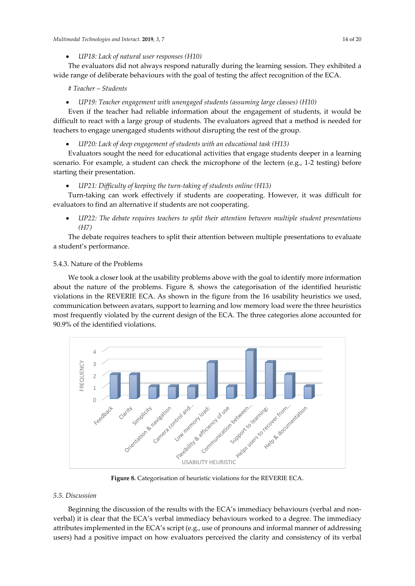The evaluators did not always respond naturally during the learning session. They exhibited a wide range of deliberate behaviours with the goal of testing the affect recognition of the ECA.

## *# Teacher – Students*

## • *UP19: Teacher engagement with unengaged students (assuming large classes) (H10)*

Even if the teacher had reliable information about the engagement of students, it would be difficult to react with a large group of students. The evaluators agreed that a method is needed for teachers to engage unengaged students without disrupting the rest of the group.

• *UP20: Lack of deep engagement of students with an educational task (H13)*

Evaluators sought the need for educational activities that engage students deeper in a learning scenario. For example, a student can check the microphone of the lectern (e.g., 1-2 testing) before starting their presentation.

## • *UP21: Difficulty of keeping the turn-taking of students online (H13)*

Turn-taking can work effectively if students are cooperating. However, it was difficult for evaluators to find an alternative if students are not cooperating.

• *UP22: The debate requires teachers to split their attention between multiple student presentations (H7)*

The debate requires teachers to split their attention between multiple presentations to evaluate a student's performance.

## 5.4.3. Nature of the Problems

We took a closer look at the usability problems above with the goal to identify more information about the nature of the problems. Figure 8, shows the categorisation of the identified heuristic violations in the REVERIE ECA. As shown in the figure from the 16 usability heuristics we used, communication between avatars, support to learning and low memory load were the three heuristics most frequently violated by the current design of the ECA. The three categories alone accounted for 90.9% of the identified violations.



**Figure 8.** Categorisation of heuristic violations for the REVERIE ECA.

#### *5.5. Discussion*

Beginning the discussion of the results with the ECA's immediacy behaviours (verbal and nonverbal) it is clear that the ECA's verbal immediacy behaviours worked to a degree. The immediacy attributes implemented in the ECA's script (e.g., use of pronouns and informal manner of addressing users) had a positive impact on how evaluators perceived the clarity and consistency of its verbal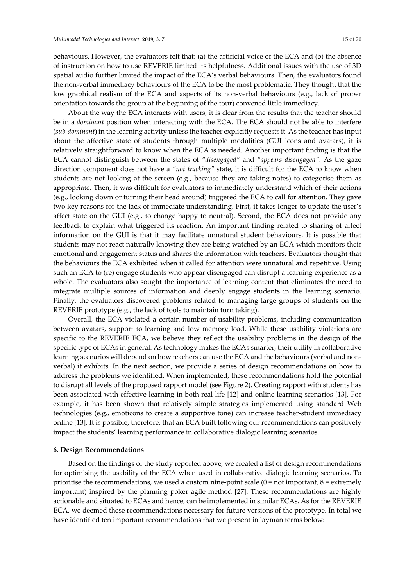behaviours. However, the evaluators felt that: (a) the artificial voice of the ECA and (b) the absence of instruction on how to use REVERIE limited its helpfulness. Additional issues with the use of 3D spatial audio further limited the impact of the ECA's verbal behaviours. Then, the evaluators found the non-verbal immediacy behaviours of the ECA to be the most problematic. They thought that the low graphical realism of the ECA and aspects of its non-verbal behaviours (e.g., lack of proper orientation towards the group at the beginning of the tour) convened little immediacy.

About the way the ECA interacts with users, it is clear from the results that the teacher should be in a *dominant* position when interacting with the ECA. The ECA should not be able to interfere (*sub-dominant*) in the learning activity unless the teacher explicitly requests it. As the teacher has input about the affective state of students through multiple modalities (GUI icons and avatars), it is relatively straightforward to know when the ECA is needed. Another important finding is that the ECA cannot distinguish between the states of *"disengaged"* and *"appears disengaged"*. As the gaze direction component does not have a *"not tracking"* state, it is difficult for the ECA to know when students are not looking at the screen (e.g., because they are taking notes) to categorise them as appropriate. Then, it was difficult for evaluators to immediately understand which of their actions (e.g., looking down or turning their head around) triggered the ECA to call for attention. They gave two key reasons for the lack of immediate understanding. First, it takes longer to update the user's affect state on the GUI (e.g., to change happy to neutral). Second, the ECA does not provide any feedback to explain what triggered its reaction. An important finding related to sharing of affect information on the GUI is that it may facilitate unnatural student behaviours. It is possible that students may not react naturally knowing they are being watched by an ECA which monitors their emotional and engagement status and shares the information with teachers. Evaluators thought that the behaviours the ECA exhibited when it called for attention were unnatural and repetitive. Using such an ECA to (re) engage students who appear disengaged can disrupt a learning experience as a whole. The evaluators also sought the importance of learning content that eliminates the need to integrate multiple sources of information and deeply engage students in the learning scenario. Finally, the evaluators discovered problems related to managing large groups of students on the REVERIE prototype (e.g., the lack of tools to maintain turn taking).

Overall, the ECA violated a certain number of usability problems, including communication between avatars, support to learning and low memory load. While these usability violations are specific to the REVERIE ECA, we believe they reflect the usability problems in the design of the specific type of ECAs in general. As technology makes the ECAs smarter, their utility in collaborative learning scenarios will depend on how teachers can use the ECA and the behaviours (verbal and nonverbal) it exhibits. In the next section, we provide a series of design recommendations on how to address the problems we identified. When implemented, these recommendations hold the potential to disrupt all levels of the proposed rapport model (see Figure 2). Creating rapport with students has been associated with effective learning in both real life [12] and online learning scenarios [13]. For example, it has been shown that relatively simple strategies implemented using standard Web technologies (e.g., emoticons to create a supportive tone) can increase teacher-student immediacy online [13]. It is possible, therefore, that an ECA built following our recommendations can positively impact the students' learning performance in collaborative dialogic learning scenarios.

#### **6. Design Recommendations**

Based on the findings of the study reported above, we created a list of design recommendations for optimising the usability of the ECA when used in collaborative dialogic learning scenarios. To prioritise the recommendations, we used a custom nine-point scale  $(0 = not important, 8 = extremely)$ important) inspired by the planning poker agile method [27]. These recommendations are highly actionable and situated to ECAs and hence, can be implemented in similar ECAs. As for the REVERIE ECA, we deemed these recommendations necessary for future versions of the prototype. In total we have identified ten important recommendations that we present in layman terms below: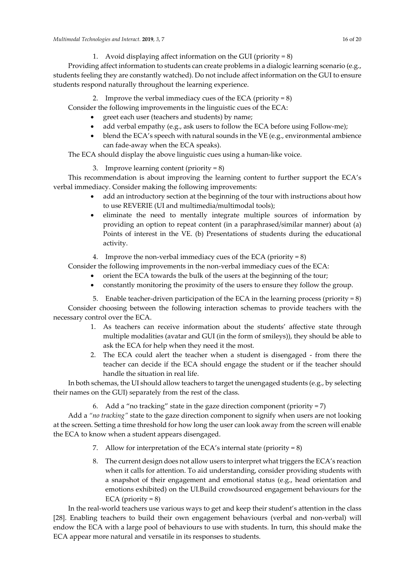*Multimodal Technologies and Interact.* **2019**, *3*, 7 16 of 20

1. Avoid displaying affect information on the GUI (priority  $= 8$ )

Providing affect information to students can create problems in a dialogic learning scenario (e.g., students feeling they are constantly watched). Do not include affect information on the GUI to ensure students respond naturally throughout the learning experience.

2. Improve the verbal immediacy cues of the ECA (priority  $= 8$ )

- Consider the following improvements in the linguistic cues of the ECA:
	- greet each user (teachers and students) by name;
	- add verbal empathy (e.g., ask users to follow the ECA before using Follow-me);
	- blend the ECA's speech with natural sounds in the VE (e.g., environmental ambience can fade-away when the ECA speaks).

The ECA should display the above linguistic cues using a human-like voice.

3. Improve learning content (priority = 8)

This recommendation is about improving the learning content to further support the ECA's verbal immediacy. Consider making the following improvements:

- add an introductory section at the beginning of the tour with instructions about how to use REVERIE (UI and multimedia/multimodal tools);
- eliminate the need to mentally integrate multiple sources of information by providing an option to repeat content (in a paraphrased/similar manner) about (a) Points of interest in the VE. (b) Presentations of students during the educational activity.

4. Improve the non-verbal immediacy cues of the ECA (priority  $= 8$ )

- Consider the following improvements in the non-verbal immediacy cues of the ECA:
	- orient the ECA towards the bulk of the users at the beginning of the tour;
	- constantly monitoring the proximity of the users to ensure they follow the group.
	- 5. Enable teacher-driven participation of the ECA in the learning process (priority =  $8$ )

Consider choosing between the following interaction schemas to provide teachers with the necessary control over the ECA.

- 1. As teachers can receive information about the students' affective state through multiple modalities (avatar and GUI (in the form of smileys)), they should be able to ask the ECA for help when they need it the most.
- 2. The ECA could alert the teacher when a student is disengaged from there the teacher can decide if the ECA should engage the student or if the teacher should handle the situation in real life.

In both schemas, the UI should allow teachers to target the unengaged students (e.g., by selecting their names on the GUI) separately from the rest of the class.

6. Add a "no tracking" state in the gaze direction component (priority = 7)

Add a *"no tracking"* state to the gaze direction component to signify when users are not looking at the screen. Setting a time threshold for how long the user can look away from the screen will enable the ECA to know when a student appears disengaged.

- 7. Allow for interpretation of the ECA's internal state (priority = 8)
- 8. The current design does not allow users to interpret what triggers the ECA's reaction when it calls for attention. To aid understanding, consider providing students with a snapshot of their engagement and emotional status (e.g., head orientation and emotions exhibited) on the UI.Build crowdsourced engagement behaviours for the ECA (priority  $= 8$ )

In the real-world teachers use various ways to get and keep their student's attention in the class [28]. Enabling teachers to build their own engagement behaviours (verbal and non-verbal) will endow the ECA with a large pool of behaviours to use with students. In turn, this should make the ECA appear more natural and versatile in its responses to students.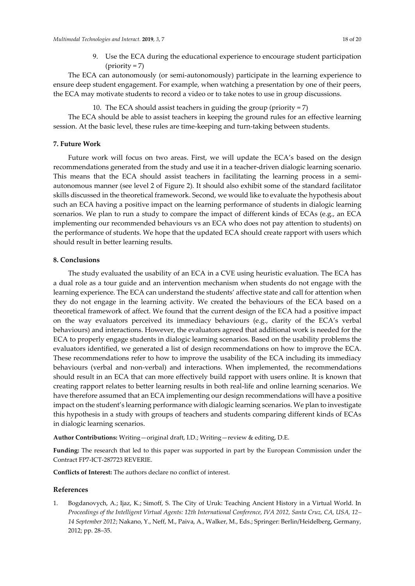9. Use the ECA during the educational experience to encourage student participation  $(\text{priority} = 7)$ 

The ECA can autonomously (or semi-autonomously) participate in the learning experience to ensure deep student engagement. For example, when watching a presentation by one of their peers, the ECA may motivate students to record a video or to take notes to use in group discussions.

10. The ECA should assist teachers in guiding the group (priority = 7)

The ECA should be able to assist teachers in keeping the ground rules for an effective learning session. At the basic level, these rules are time-keeping and turn-taking between students.

# **7. Future Work**

Future work will focus on two areas. First, we will update the ECA's based on the design recommendations generated from the study and use it in a teacher-driven dialogic learning scenario. This means that the ECA should assist teachers in facilitating the learning process in a semiautonomous manner (see level 2 of Figure 2). It should also exhibit some of the standard facilitator skills discussed in the theoretical framework. Second, we would like to evaluate the hypothesis about such an ECA having a positive impact on the learning performance of students in dialogic learning scenarios. We plan to run a study to compare the impact of different kinds of ECAs (e.g., an ECA implementing our recommended behaviours vs an ECA who does not pay attention to students) on the performance of students. We hope that the updated ECA should create rapport with users which should result in better learning results.

# **8. Conclusions**

The study evaluated the usability of an ECA in a CVE using heuristic evaluation. The ECA has a dual role as a tour guide and an intervention mechanism when students do not engage with the learning experience. The ECA can understand the students' affective state and call for attention when they do not engage in the learning activity. We created the behaviours of the ECA based on a theoretical framework of affect. We found that the current design of the ECA had a positive impact on the way evaluators perceived its immediacy behaviours (e.g., clarity of the ECA's verbal behaviours) and interactions. However, the evaluators agreed that additional work is needed for the ECA to properly engage students in dialogic learning scenarios. Based on the usability problems the evaluators identified, we generated a list of design recommendations on how to improve the ECA. These recommendations refer to how to improve the usability of the ECA including its immediacy behaviours (verbal and non-verbal) and interactions. When implemented, the recommendations should result in an ECA that can more effectively build rapport with users online. It is known that creating rapport relates to better learning results in both real-life and online learning scenarios. We have therefore assumed that an ECA implementing our design recommendations will have a positive impact on the student's learning performance with dialogic learning scenarios. We plan to investigate this hypothesis in a study with groups of teachers and students comparing different kinds of ECAs in dialogic learning scenarios.

**Author Contributions:** Writing—original draft, I.D.; Writing—review & editing, D.E.

**Funding:** The research that led to this paper was supported in part by the European Commission under the Contract FP7-ICT-287723 REVERIE.

**Conflicts of Interest:** The authors declare no conflict of interest.

# **References**

1. Bogdanovych, A.; Ijaz, K.; Simoff, S. The City of Uruk: Teaching Ancient History in a Virtual World. In *Proceedings of the Intelligent Virtual Agents: 12th International Conference, IVA 2012, Santa Cruz, CA, USA, 12– 14 September 2012*; Nakano, Y., Neff, M., Paiva, A., Walker, M., Eds.; Springer: Berlin/Heidelberg, Germany, 2012; pp. 28–35.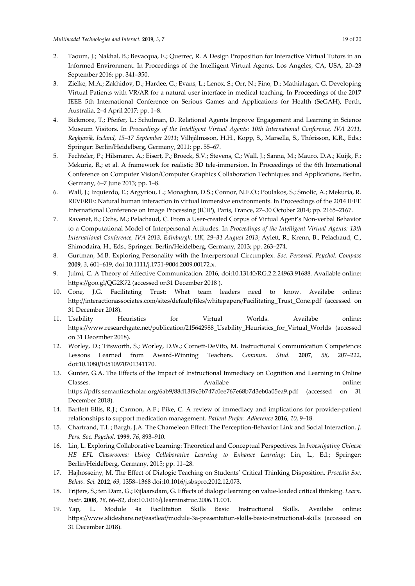- 2. Taoum, J.; Nakhal, B.; Bevacqua, E.; Querrec, R. A Design Proposition for Interactive Virtual Tutors in an Informed Environment. In Proceedings of the Intelligent Virtual Agents, Los Angeles, CA, USA, 20–23 September 2016; pp. 341–350.
- 3. Zielke, M.A.; Zakhidov, D.; Hardee, G.; Evans, L.; Lenox, S.; Orr, N.; Fino, D.; Mathialagan, G. Developing Virtual Patients with VR/AR for a natural user interface in medical teaching. In Proceedings of the 2017 IEEE 5th International Conference on Serious Games and Applications for Health (SeGAH), Perth, Australia, 2–4 April 2017; pp. 1–8.
- 4. Bickmore, T.; Pfeifer, L.; Schulman, D. Relational Agents Improve Engagement and Learning in Science Museum Visitors. In *Proceedings of the Intelligent Virtual Agents: 10th International Conference, IVA 2011, Reykjavik, Iceland, 15–17 September 2011*; Vilhjálmsson, H.H., Kopp, S., Marsella, S., Thórisson, K.R., Eds.; Springer: Berlin/Heidelberg, Germany, 2011; pp. 55–67.
- 5. Fechteler, P.; Hilsmann, A.; Eisert, P.; Broeck, S.V.; Stevens, C.; Wall, J.; Sanna, M.; Mauro, D.A.; Kuijk, F.; Mekuria, R.; et al. A framework for realistic 3D tele-immersion. In Proceedings of the 6th International Conference on Computer Vision/Computer Graphics Collaboration Techniques and Applications, Berlin, Germany, 6–7 June 2013; pp. 1–8.
- 6. Wall, J.; Izquierdo, E.; Argyriou, L.; Monaghan, D.S.; Connor, N.E.O.; Poulakos, S.; Smolic, A.; Mekuria, R. REVERIE: Natural human interaction in virtual immersive environments. In Proceedings of the 2014 IEEE International Conference on Image Processing (ICIP), Paris, France, 27–30 October 2014; pp. 2165–2167.
- 7. Ravenet, B.; Ochs, M.; Pelachaud, C. From a User-created Corpus of Virtual Agent's Non-verbal Behavior to a Computational Model of Interpersonal Attitudes. In *Proceedings of the Intelligent Virtual Agents: 13th International Conference, IVA 2013, Edinburgh, UK, 29–31 August 2013*; Aylett, R., Krenn, B., Pelachaud, C., Shimodaira, H., Eds.; Springer: Berlin/Heidelberg, Germany, 2013; pp. 263–274.
- 8. Gurtman, M.B. Exploring Personality with the Interpersonal Circumplex. *Soc. Personal. Psychol. Compass*  **2009**, *3*, 601–619, doi:10.1111/j.1751-9004.2009.00172.x.
- 9. Julmi, C. A Theory of Affective Communication. 2016, doi:10.13140/RG.2.2.24963.91688. Available online: <https://goo.gl/QG2K72> (accessed on31 December 2018 ).
- 10. Cone, J.G. Facilitating Trust: What team leaders need to know. Availabe online: [http://interactionassociates.com/sites/default/files/whitepapers/Facilitating\\_Trust\\_Cone.pdf](http://interactionassociates.com/sites/default/files/whitepapers/Facilitating_Trust_Cone.pdf) (accessed on 31 December 2018).
- 11. Usability Heuristics for Virtual Worlds. Availabe online: https://www.researchgate.net/publication/215642988\_Usability\_Heuristics\_for\_Virtual\_Worlds (accessed on 31 December 2018).
- 12. Worley, D.; Titsworth, S.; Worley, D.W.; Cornett-DeVito, M. Instructional Communication Competence: Lessons Learned from Award-Winning Teachers. *Commun. Stud.* **2007**, *58*, 207–222, doi:10.1080/10510970701341170.
- 13. Gunter, G.A. The Effects of the Impact of Instructional Immediacy on Cognition and Learning in Online Classes. Availabe online: https://pdfs.semanticscholar.org/6ab9/88d13f9c5b747c0ee767e68b7d3eb0a05ea9.pdf (accessed on 31 December 2018).
- 14. Bartlett Ellis, R.J.; Carmon, A.F.; Pike, C. A review of immediacy and implications for provider-patient relationships to support medication management. *Patient Prefer. Adherence* **2016**, *10*, 9–18.
- 15. Chartrand, T.L.; Bargh, J.A. The Chameleon Effect: The Perception-Behavior Link and Social Interaction. *J. Pers. Soc. Psychol.* **1999**, *76*, 893–910.
- 16. Lin, L. Exploring Collaborative Learning: Theoretical and Conceptual Perspectives. In *Investigating Chinese HE EFL Classrooms: Using Collaborative Learning to Enhance Learning*; Lin, L., Ed.; Springer: Berlin/Heidelberg, Germany, 2015; pp. 11–28.
- 17. Hajhosseiny, M. The Effect of Dialogic Teaching on Students' Critical Thinking Disposition. *Procedia Soc. Behav. Sci.* **2012**, *69*, 1358–1368 doi[:10.1016/j.sbspro.2012.12.073.](http://dx.doi.org/10.1016/j.sbspro.2012.12.073)
- 18. Frijters, S.; ten Dam, G.; Rijlaarsdam, G. Effects of dialogic learning on value-loaded critical thinking. *Learn. Instr.* **2008**, *18*, 66–82, do[i:10.1016/j.learninstruc.2006.11.001.](http://dx.doi.org/10.1016/j.learninstruc.2006.11.001)
- 19. Yap, L. Module 4a Facilitation Skills Basic Instructional Skills. Availabe online: https://www.slideshare.net/eastleaf/module-3a-presentation-skills-basic-instructional-skills (accessed on 31 December 2018).